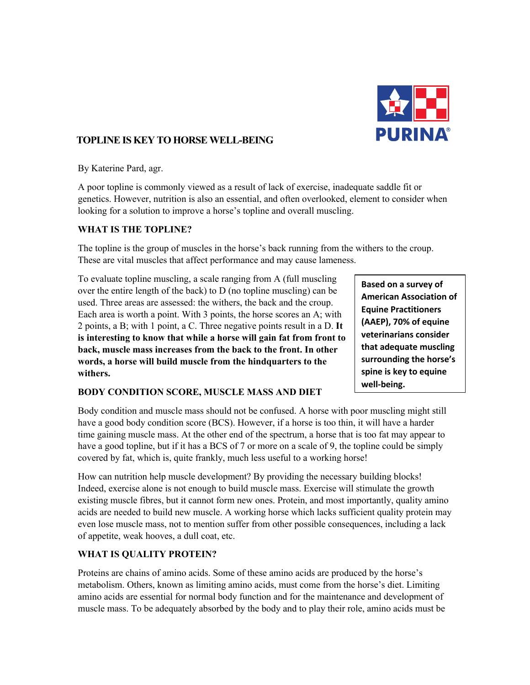

# **TOPLINE IS KEY TO HORSE WELL-BEING**

By Katerine Pard, agr.

A poor topline is commonly viewed as a result of lack of exercise, inadequate saddle fit or genetics. However, nutrition is also an essential, and often overlooked, element to consider when looking for a solution to improve a horse's topline and overall muscling.

#### **WHAT IS THE TOPLINE?**

The topline is the group of muscles in the horse's back running from the withers to the croup. These are vital muscles that affect performance and may cause lameness.

To evaluate topline muscling, a scale ranging from A (full muscling over the entire length of the back) to D (no topline muscling) can be used. Three areas are assessed: the withers, the back and the croup. Each area is worth a point. With 3 points, the horse scores an A; with 2 points, a B; with 1 point, a C. Three negative points result in a D. **It is interesting to know that while a horse will gain fat from front to back, muscle mass increases from the back to the front. In other words, a horse will build muscle from the hindquarters to the withers.** 

### **BODY CONDITION SCORE, MUSCLE MASS AND DIET**

Body condition and muscle mass should not be confused. A horse with poor muscling might still have a good body condition score (BCS). However, if a horse is too thin, it will have a harder time gaining muscle mass. At the other end of the spectrum, a horse that is too fat may appear to have a good topline, but if it has a BCS of 7 or more on a scale of 9, the topline could be simply covered by fat, which is, quite frankly, much less useful to a working horse!

How can nutrition help muscle development? By providing the necessary building blocks! Indeed, exercise alone is not enough to build muscle mass. Exercise will stimulate the growth existing muscle fibres, but it cannot form new ones. Protein, and most importantly, quality amino acids are needed to build new muscle. A working horse which lacks sufficient quality protein may even lose muscle mass, not to mention suffer from other possible consequences, including a lack of appetite, weak hooves, a dull coat, etc.

### **WHAT IS QUALITY PROTEIN?**

Proteins are chains of amino acids. Some of these amino acids are produced by the horse's metabolism. Others, known as limiting amino acids, must come from the horse's diet. Limiting amino acids are essential for normal body function and for the maintenance and development of muscle mass. To be adequately absorbed by the body and to play their role, amino acids must be

**Based on a survey of American Association of Equine Practitioners (AAEP), 70% of equine veterinarians consider that adequate muscling surrounding the horse's spine is key to equine well-being.**